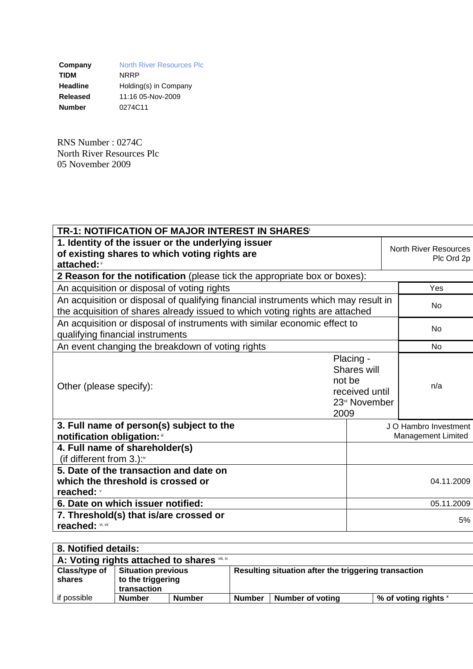**Company** North River Resources Plc<br> **TIDM** NRRP **TIDM** NRRP **Headline** Holding(s) in Company **Released** 11:16 05-Nov-2009 **Number** 0274C11

RNS Number : 0274C North River Resources Plc 05 November 2009

| TR-1: NOTIFICATION OF MAJOR INTEREST IN SHARES <sup>®</sup>                                                                                                        |                                             |                                            |                                             |  |
|--------------------------------------------------------------------------------------------------------------------------------------------------------------------|---------------------------------------------|--------------------------------------------|---------------------------------------------|--|
| 1. Identity of the issuer or the underlying issuer<br>of existing shares to which voting rights are<br>attached:                                                   |                                             | <b>North River Resources</b><br>Plc Ord 2p |                                             |  |
| 2 Reason for the notification (please tick the appropriate box or boxes):                                                                                          |                                             |                                            |                                             |  |
| An acquisition or disposal of voting rights                                                                                                                        | Yes                                         |                                            |                                             |  |
| An acquisition or disposal of qualifying financial instruments which may result in<br>the acquisition of shares already issued to which voting rights are attached | No                                          |                                            |                                             |  |
| An acquisition or disposal of instruments with similar economic effect to<br>qualifying financial instruments                                                      | No                                          |                                            |                                             |  |
| An event changing the breakdown of voting rights                                                                                                                   |                                             | <b>No</b>                                  |                                             |  |
| Other (please specify):                                                                                                                                            | received until<br>23 <sup>rd</sup> November | n/a                                        |                                             |  |
| 3. Full name of person(s) subject to the<br>notification obligation: "                                                                                             |                                             |                                            | J O Hambro Investment<br>Management Limited |  |
| 4. Full name of shareholder(s)<br>(if different from 3.): <sup>iv</sup>                                                                                            |                                             |                                            |                                             |  |
| 5. Date of the transaction and date on<br>which the threshold is crossed or<br>reached: v                                                                          |                                             |                                            | 04.11.2009                                  |  |
| 6. Date on which issuer notified:                                                                                                                                  |                                             | 05.11.2009                                 |                                             |  |
| 7. Threshold(s) that is/are crossed or<br>reached: vi, vii                                                                                                         |                                             | 5%                                         |                                             |  |
|                                                                                                                                                                    |                                             |                                            |                                             |  |

| 8. Notified details:                         |                                                               |               |                                                      |                         |                      |  |  |  |
|----------------------------------------------|---------------------------------------------------------------|---------------|------------------------------------------------------|-------------------------|----------------------|--|--|--|
| A: Voting rights attached to shares viii, ix |                                                               |               |                                                      |                         |                      |  |  |  |
| Class/type of<br>shares                      | <b>Situation previous</b><br>to the triggering<br>transaction |               | Resulting situation after the triggering transaction |                         |                      |  |  |  |
| if possible                                  | <b>Number</b>                                                 | <b>Number</b> | <b>Number</b>                                        | <b>Number of voting</b> | % of voting rights * |  |  |  |